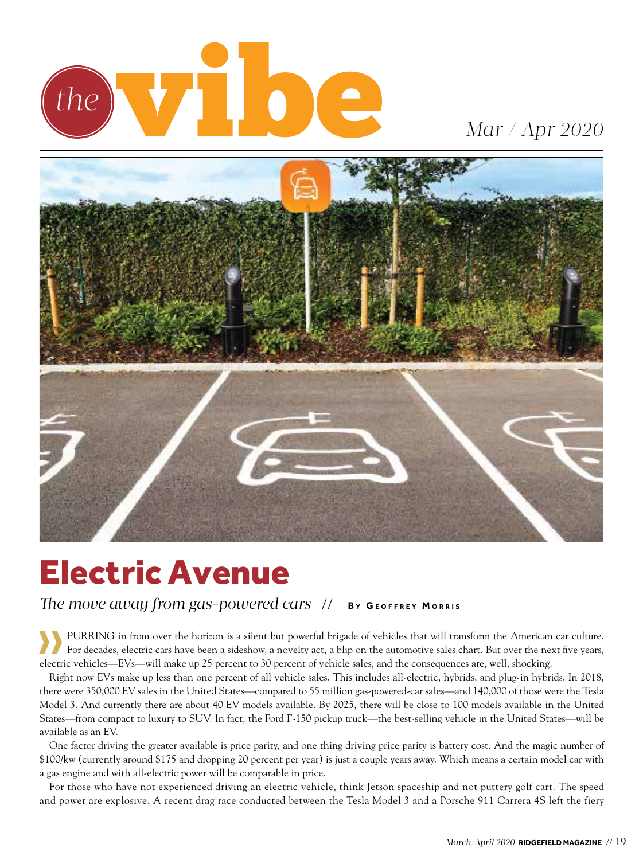

## *Mar / Apr 2020*



# Electric Avenue

*The move away from gas-powered cars*  $\frac{1}{1}$  *BY GEOFFREY MORRIS* 

›› Purring in from over the horizon is a silent but powerful brigade of vehicles that will transform the American car culture. For decades, electric cars have been a sideshow, a novelty act, a blip on the automotive sales chart. But over the next five years, electric vehicles—EVs—will make up 25 percent to 30 percent of vehicle sales, and the consequences are, well, shocking.

Right now EVs make up less than one percent of all vehicle sales. This includes all-electric, hybrids, and plug-in hybrids. In 2018, there were 350,000 EV sales in the United States—compared to 55 million gas-powered-car sales—and 140,000 of those were the Tesla Model 3. And currently there are about 40 EV models available. By 2025, there will be close to 100 models available in the United States—from compact to luxury to SUV. In fact, the Ford F-150 pickup truck—the best-selling vehicle in the United States—will be available as an EV.

One factor driving the greater available is price parity, and one thing driving price parity is battery cost. And the magic number of \$100/kw (currently around \$175 and dropping 20 percent per year) is just a couple years away. Which means a certain model car with a gas engine and with all-electric power will be comparable in price.

For those who have not experienced driving an electric vehicle, think Jetson spaceship and not puttery golf cart. The speed and power are explosive. A recent drag race conducted between the Tesla Model 3 and a Porsche 911 Carrera 4S left the fiery